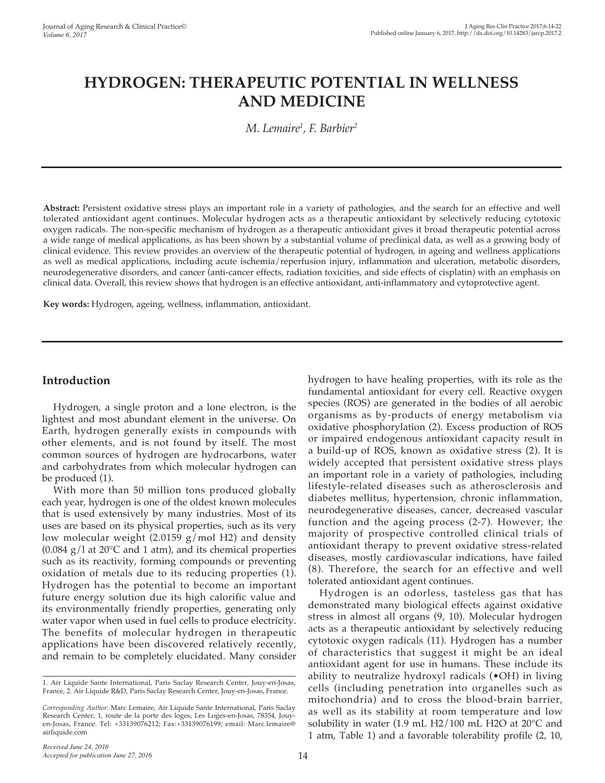# **HYDROGEN: THERAPEUTIC POTENTIAL IN WELLNESS AND MEDICINE**

*M. Lemaire1 , F. Barbier2*

**Abstract:** Persistent oxidative stress plays an important role in a variety of pathologies, and the search for an effective and well tolerated antioxidant agent continues. Molecular hydrogen acts as a therapeutic antioxidant by selectively reducing cytotoxic oxygen radicals. The non-specific mechanism of hydrogen as a therapeutic antioxidant gives it broad therapeutic potential across a wide range of medical applications, as has been shown by a substantial volume of preclinical data, as well as a growing body of clinical evidence. This review provides an overview of the therapeutic potential of hydrogen, in ageing and wellness applications as well as medical applications, including acute ischemia/reperfusion injury, inflammation and ulceration, metabolic disorders, neurodegenerative disorders, and cancer (anti-cancer effects, radiation toxicities, and side effects of cisplatin) with an emphasis on clinical data. Overall, this review shows that hydrogen is an effective antioxidant, anti-inflammatory and cytoprotective agent.

**Key words:** Hydrogen, ageing, wellness, inflammation, antioxidant.

## **Introduction**

Hydrogen, a single proton and a lone electron, is the lightest and most abundant element in the universe. On Earth, hydrogen generally exists in compounds with other elements, and is not found by itself. The most common sources of hydrogen are hydrocarbons, water and carbohydrates from which molecular hydrogen can be produced (1).

With more than 50 million tons produced globally each year, hydrogen is one of the oldest known molecules that is used extensively by many industries. Most of its uses are based on its physical properties, such as its very low molecular weight (2.0159 g/mol H2) and density  $(0.084 \text{ g}/1 \text{ at } 20^{\circ}\text{C}$  and 1 atm), and its chemical properties such as its reactivity, forming compounds or preventing oxidation of metals due to its reducing properties (1). Hydrogen has the potential to become an important future energy solution due its high calorific value and its environmentally friendly properties, generating only water vapor when used in fuel cells to produce electricity. The benefits of molecular hydrogen in therapeutic applications have been discovered relatively recently, and remain to be completely elucidated. Many consider hydrogen to have healing properties, with its role as the fundamental antioxidant for every cell. Reactive oxygen species (ROS) are generated in the bodies of all aerobic organisms as by-products of energy metabolism via oxidative phosphorylation (2). Excess production of ROS or impaired endogenous antioxidant capacity result in a build-up of ROS, known as oxidative stress (2). It is widely accepted that persistent oxidative stress plays an important role in a variety of pathologies, including lifestyle-related diseases such as atherosclerosis and diabetes mellitus, hypertension, chronic inflammation, neurodegenerative diseases, cancer, decreased vascular function and the ageing process (2-7). However, the majority of prospective controlled clinical trials of antioxidant therapy to prevent oxidative stress-related diseases, mostly cardiovascular indications, have failed (8). Therefore, the search for an effective and well tolerated antioxidant agent continues.

Hydrogen is an odorless, tasteless gas that has demonstrated many biological effects against oxidative stress in almost all organs (9, 10). Molecular hydrogen acts as a therapeutic antioxidant by selectively reducing cytotoxic oxygen radicals (11). Hydrogen has a number of characteristics that suggest it might be an ideal antioxidant agent for use in humans. These include its ability to neutralize hydroxyl radicals (•OH) in living cells (including penetration into organelles such as mitochondria) and to cross the blood-brain barrier, as well as its stability at room temperature and low solubility in water (1.9 mL H2/100 mL H2O at 20°C and 1 atm, Table 1) and a favorable tolerability profile (2, 10,

<sup>1.</sup> Air Liquide Sante International, Paris Saclay Research Center, Jouy-en-Josas, France, 2. Air Liquide R&D, Paris Saclay Research Center, Jouy-en-Josas, France.

*Corresponding Author:* Marc Lemaire, Air Liquide Sante International, Paris Saclay Research Center, 1, route de la porte des loges, Les Loges-en-Josas, 78354, Jouyen-Josas, France. Tel: +33139076212; Fax:+33139076199; email: Marc.lemaire@ airliquide.com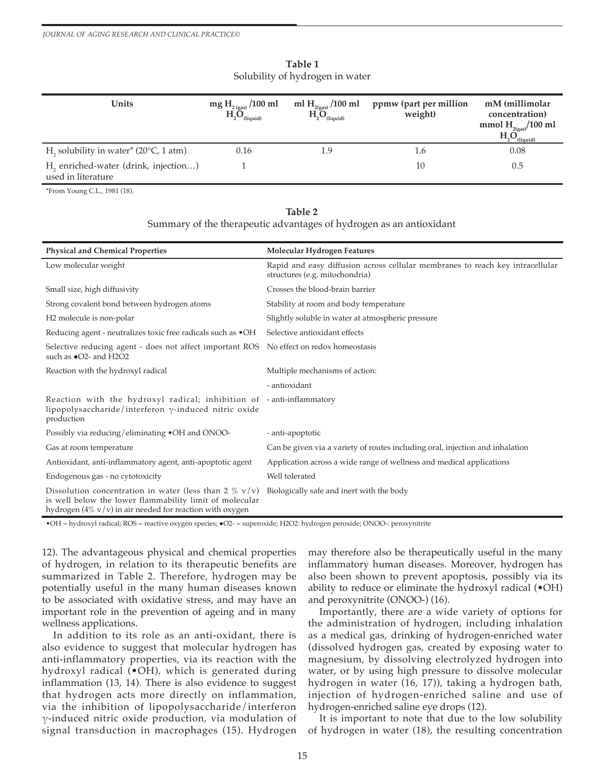| Units                                                                   | mg $\frac{H_{2\,\text{(gas)}}}{H_{2}O_{\text{(liquid)}}}$ | ml $\rm{H}_{_{2(gas)}}$ /100 ml<br>$H_2O_{(liquid)}$ | ppmw (part per million<br>weight) | mM (millimolar<br>concentration)<br>mmol $H_{2(gas)}$ /100 ml<br>H <sub>n</sub> O <sub>n</sub><br>(liquid) |
|-------------------------------------------------------------------------|-----------------------------------------------------------|------------------------------------------------------|-----------------------------------|------------------------------------------------------------------------------------------------------------|
| H <sub>2</sub> solubility in water <sup>*</sup> (20 $\degree$ C, 1 atm) | 0.16                                                      | 1.9                                                  | 1.6                               | 0.08                                                                                                       |
| H <sub>2</sub> enriched-water (drink, injection)<br>used in literature  |                                                           |                                                      | 10                                | 0.5                                                                                                        |

#### **Table 1** Solubility of hydrogen in water

\*From Young C.L., 1981 (18).

#### **Table 2**

Summary of the therapeutic advantages of hydrogen as an antioxidant

| <b>Physical and Chemical Properties</b>                                                                                                                                                     | Molecular Hydrogen Features                                                                                     |
|---------------------------------------------------------------------------------------------------------------------------------------------------------------------------------------------|-----------------------------------------------------------------------------------------------------------------|
| Low molecular weight                                                                                                                                                                        | Rapid and easy diffusion across cellular membranes to reach key intracellular<br>structures (e.g. mitochondria) |
| Small size, high diffusivity                                                                                                                                                                | Crosses the blood-brain barrier                                                                                 |
| Strong covalent bond between hydrogen atoms                                                                                                                                                 | Stability at room and body temperature                                                                          |
| H <sub>2</sub> molecule is non-polar                                                                                                                                                        | Slightly soluble in water at atmospheric pressure                                                               |
| Reducing agent - neutralizes toxic free radicals such as $\bullet$ OH                                                                                                                       | Selective antioxidant effects                                                                                   |
| Selective reducing agent - does not affect important ROS No effect on redox homeostasis<br>such as $\bullet$ O2- and H2O2                                                                   |                                                                                                                 |
| Reaction with the hydroxyl radical                                                                                                                                                          | Multiple mechanisms of action:                                                                                  |
|                                                                                                                                                                                             | - antioxidant                                                                                                   |
| Reaction with the hydroxyl radical; inhibition of -anti-inflammatory<br>lipopolysaccharide/interferon $\gamma$ -induced nitric oxide<br>production                                          |                                                                                                                 |
| Possibly via reducing/eliminating •OH and ONOO-                                                                                                                                             | - anti-apoptotic                                                                                                |
| Gas at room temperature                                                                                                                                                                     | Can be given via a variety of routes including oral, injection and inhalation                                   |
| Antioxidant, anti-inflammatory agent, anti-apoptotic agent                                                                                                                                  | Application across a wide range of wellness and medical applications                                            |
| Endogenous gas - no cytotoxicity                                                                                                                                                            | Well tolerated                                                                                                  |
| Dissolution concentration in water (less than 2 $\%$ v/v)<br>is well below the lower flammability limit of molecular<br>hydrogen $(4\% \text{ v/v})$ in air needed for reaction with oxygen | Biologically safe and inert with the body                                                                       |
|                                                                                                                                                                                             |                                                                                                                 |

•OH = hydroxyl radical; ROS = reactive oxygen species; ●O2- = superoxide; H2O2: hydrogen peroxide; ONOO-: peroxynitrite

12). The advantageous physical and chemical properties of hydrogen, in relation to its therapeutic benefits are summarized in Table 2. Therefore, hydrogen may be potentially useful in the many human diseases known to be associated with oxidative stress, and may have an important role in the prevention of ageing and in many wellness applications.

In addition to its role as an anti-oxidant, there is also evidence to suggest that molecular hydrogen has anti-inflammatory properties, via its reaction with the hydroxyl radical (•OH), which is generated during inflammation (13, 14). There is also evidence to suggest that hydrogen acts more directly on inflammation, via the inhibition of lipopolysaccharide/interferon γ-induced nitric oxide production, via modulation of signal transduction in macrophages (15). Hydrogen

may therefore also be therapeutically useful in the many inflammatory human diseases. Moreover, hydrogen has also been shown to prevent apoptosis, possibly via its ability to reduce or eliminate the hydroxyl radical (•OH) and peroxynitrite (ONOO-) (16).

Importantly, there are a wide variety of options for the administration of hydrogen, including inhalation as a medical gas, drinking of hydrogen-enriched water (dissolved hydrogen gas, created by exposing water to magnesium, by dissolving electrolyzed hydrogen into water, or by using high pressure to dissolve molecular hydrogen in water (16, 17)), taking a hydrogen bath, injection of hydrogen-enriched saline and use of hydrogen-enriched saline eye drops (12).

It is important to note that due to the low solubility of hydrogen in water (18), the resulting concentration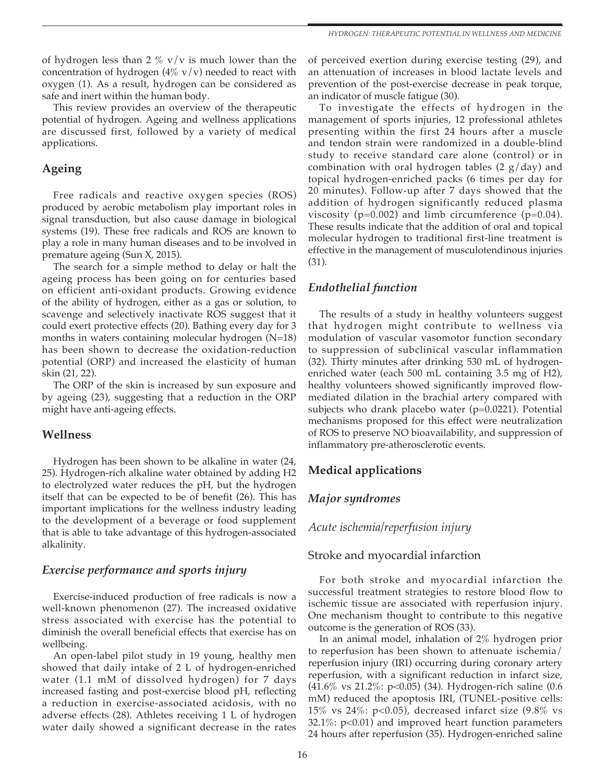of hydrogen less than 2  $\%$  v/v is much lower than the concentration of hydrogen  $(4\% \text{ v/v})$  needed to react with oxygen (1). As a result, hydrogen can be considered as safe and inert within the human body.

This review provides an overview of the therapeutic potential of hydrogen. Ageing and wellness applications are discussed first, followed by a variety of medical applications.

## **Ageing**

Free radicals and reactive oxygen species (ROS) produced by aerobic metabolism play important roles in signal transduction, but also cause damage in biological systems (19). These free radicals and ROS are known to play a role in many human diseases and to be involved in premature ageing (Sun X, 2015).

The search for a simple method to delay or halt the ageing process has been going on for centuries based on efficient anti-oxidant products. Growing evidence of the ability of hydrogen, either as a gas or solution, to scavenge and selectively inactivate ROS suggest that it could exert protective effects (20). Bathing every day for 3 months in waters containing molecular hydrogen (N=18) has been shown to decrease the oxidation-reduction potential (ORP) and increased the elasticity of human skin (21, 22).

The ORP of the skin is increased by sun exposure and by ageing (23), suggesting that a reduction in the ORP might have anti-ageing effects.

## **Wellness**

Hydrogen has been shown to be alkaline in water (24, 25). Hydrogen-rich alkaline water obtained by adding H2 to electrolyzed water reduces the pH, but the hydrogen itself that can be expected to be of benefit (26). This has important implications for the wellness industry leading to the development of a beverage or food supplement that is able to take advantage of this hydrogen-associated alkalinity.

## *Exercise performance and sports injury*

Exercise-induced production of free radicals is now a well-known phenomenon (27). The increased oxidative stress associated with exercise has the potential to diminish the overall beneficial effects that exercise has on wellbeing.

An open-label pilot study in 19 young, healthy men showed that daily intake of 2 L of hydrogen-enriched water (1.1 mM of dissolved hydrogen) for 7 days increased fasting and post-exercise blood pH, reflecting a reduction in exercise-associated acidosis, with no adverse effects (28). Athletes receiving 1 L of hydrogen water daily showed a significant decrease in the rates of perceived exertion during exercise testing (29), and an attenuation of increases in blood lactate levels and prevention of the post-exercise decrease in peak torque, an indicator of muscle fatigue (30).

To investigate the effects of hydrogen in the management of sports injuries, 12 professional athletes presenting within the first 24 hours after a muscle and tendon strain were randomized in a double-blind study to receive standard care alone (control) or in combination with oral hydrogen tables  $(2 g/day)$  and topical hydrogen-enriched packs (6 times per day for 20 minutes). Follow-up after 7 days showed that the addition of hydrogen significantly reduced plasma viscosity ( $p=0.002$ ) and limb circumference ( $p=0.04$ ). These results indicate that the addition of oral and topical molecular hydrogen to traditional first-line treatment is effective in the management of musculotendinous injuries (31).

# *Endothelial function*

The results of a study in healthy volunteers suggest that hydrogen might contribute to wellness via modulation of vascular vasomotor function secondary to suppression of subclinical vascular inflammation (32). Thirty minutes after drinking 530 mL of hydrogenenriched water (each 500 mL containing 3.5 mg of H2), healthy volunteers showed significantly improved flowmediated dilation in the brachial artery compared with subjects who drank placebo water (p=0.0221). Potential mechanisms proposed for this effect were neutralization of ROS to preserve NO bioavailability, and suppression of inflammatory pre-atherosclerotic events.

# **Medical applications**

## *Major syndromes*

*Acute ischemia/reperfusion injury*

## Stroke and myocardial infarction

For both stroke and myocardial infarction the successful treatment strategies to restore blood flow to ischemic tissue are associated with reperfusion injury. One mechanism thought to contribute to this negative outcome is the generation of ROS (33).

In an animal model, inhalation of 2% hydrogen prior to reperfusion has been shown to attenuate ischemia/ reperfusion injury (IRI) occurring during coronary artery reperfusion, with a significant reduction in infarct size, (41.6% vs 21.2%: p<0.05) (34). Hydrogen-rich saline (0.6 mM) reduced the apoptosis IRI, (TUNEL-positive cells: 15% vs 24%: p<0.05), decreased infarct size (9.8% vs 32.1%:  $p<0.01$ ) and improved heart function parameters 24 hours after reperfusion (35). Hydrogen-enriched saline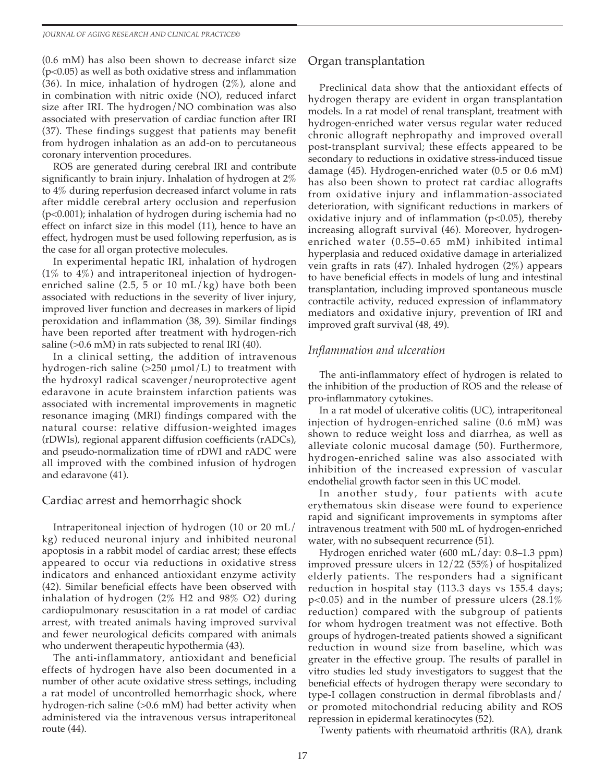(0.6 mM) has also been shown to decrease infarct size (p<0.05) as well as both oxidative stress and inflammation (36). In mice, inhalation of hydrogen (2%), alone and in combination with nitric oxide (NO), reduced infarct size after IRI. The hydrogen/NO combination was also associated with preservation of cardiac function after IRI (37). These findings suggest that patients may benefit from hydrogen inhalation as an add-on to percutaneous coronary intervention procedures.

ROS are generated during cerebral IRI and contribute significantly to brain injury. Inhalation of hydrogen at 2% to 4% during reperfusion decreased infarct volume in rats after middle cerebral artery occlusion and reperfusion (p<0.001); inhalation of hydrogen during ischemia had no effect on infarct size in this model (11), hence to have an effect, hydrogen must be used following reperfusion, as is the case for all organ protective molecules.

In experimental hepatic IRI, inhalation of hydrogen  $(1\%$  to  $4\%)$  and intraperitoneal injection of hydrogenenriched saline (2.5, 5 or 10 mL/kg) have both been associated with reductions in the severity of liver injury, improved liver function and decreases in markers of lipid peroxidation and inflammation (38, 39). Similar findings have been reported after treatment with hydrogen-rich saline (>0.6 mM) in rats subjected to renal IRI (40).

In a clinical setting, the addition of intravenous hydrogen-rich saline  $(>250 \mu \text{mol/L})$  to treatment with the hydroxyl radical scavenger/neuroprotective agent edaravone in acute brainstem infarction patients was associated with incremental improvements in magnetic resonance imaging (MRI) findings compared with the natural course: relative diffusion-weighted images (rDWIs), regional apparent diffusion coefficients (rADCs), and pseudo-normalization time of rDWI and rADC were all improved with the combined infusion of hydrogen and edaravone (41).

## Cardiac arrest and hemorrhagic shock

Intraperitoneal injection of hydrogen (10 or 20 mL/ kg) reduced neuronal injury and inhibited neuronal apoptosis in a rabbit model of cardiac arrest; these effects appeared to occur via reductions in oxidative stress indicators and enhanced antioxidant enzyme activity (42). Similar beneficial effects have been observed with inhalation of hydrogen (2% H2 and 98% O2) during cardiopulmonary resuscitation in a rat model of cardiac arrest, with treated animals having improved survival and fewer neurological deficits compared with animals who underwent therapeutic hypothermia (43).

The anti-inflammatory, antioxidant and beneficial effects of hydrogen have also been documented in a number of other acute oxidative stress settings, including a rat model of uncontrolled hemorrhagic shock, where hydrogen-rich saline (>0.6 mM) had better activity when administered via the intravenous versus intraperitoneal route (44).

# Organ transplantation

Preclinical data show that the antioxidant effects of hydrogen therapy are evident in organ transplantation models. In a rat model of renal transplant, treatment with hydrogen-enriched water versus regular water reduced chronic allograft nephropathy and improved overall post-transplant survival; these effects appeared to be secondary to reductions in oxidative stress-induced tissue damage (45). Hydrogen-enriched water (0.5 or 0.6 mM) has also been shown to protect rat cardiac allografts from oxidative injury and inflammation-associated deterioration, with significant reductions in markers of oxidative injury and of inflammation  $(p<0.05)$ , thereby increasing allograft survival (46). Moreover, hydrogenenriched water (0.55–0.65 mM) inhibited intimal hyperplasia and reduced oxidative damage in arterialized vein grafts in rats (47). Inhaled hydrogen (2%) appears to have beneficial effects in models of lung and intestinal transplantation, including improved spontaneous muscle contractile activity, reduced expression of inflammatory mediators and oxidative injury, prevention of IRI and improved graft survival (48, 49).

# *Inflammation and ulceration*

The anti-inflammatory effect of hydrogen is related to the inhibition of the production of ROS and the release of pro-inflammatory cytokines.

In a rat model of ulcerative colitis (UC), intraperitoneal injection of hydrogen-enriched saline (0.6 mM) was shown to reduce weight loss and diarrhea, as well as alleviate colonic mucosal damage (50). Furthermore, hydrogen-enriched saline was also associated with inhibition of the increased expression of vascular endothelial growth factor seen in this UC model.

In another study, four patients with acute erythematous skin disease were found to experience rapid and significant improvements in symptoms after intravenous treatment with 500 mL of hydrogen-enriched water, with no subsequent recurrence (51).

Hydrogen enriched water (600 mL/day: 0.8–1.3 ppm) improved pressure ulcers in 12/22 (55%) of hospitalized elderly patients. The responders had a significant reduction in hospital stay (113.3 days vs 155.4 days; p<0.05) and in the number of pressure ulcers (28.1% reduction) compared with the subgroup of patients for whom hydrogen treatment was not effective. Both groups of hydrogen-treated patients showed a significant reduction in wound size from baseline, which was greater in the effective group. The results of parallel in vitro studies led study investigators to suggest that the beneficial effects of hydrogen therapy were secondary to type-I collagen construction in dermal fibroblasts and/ or promoted mitochondrial reducing ability and ROS repression in epidermal keratinocytes (52).

Twenty patients with rheumatoid arthritis (RA), drank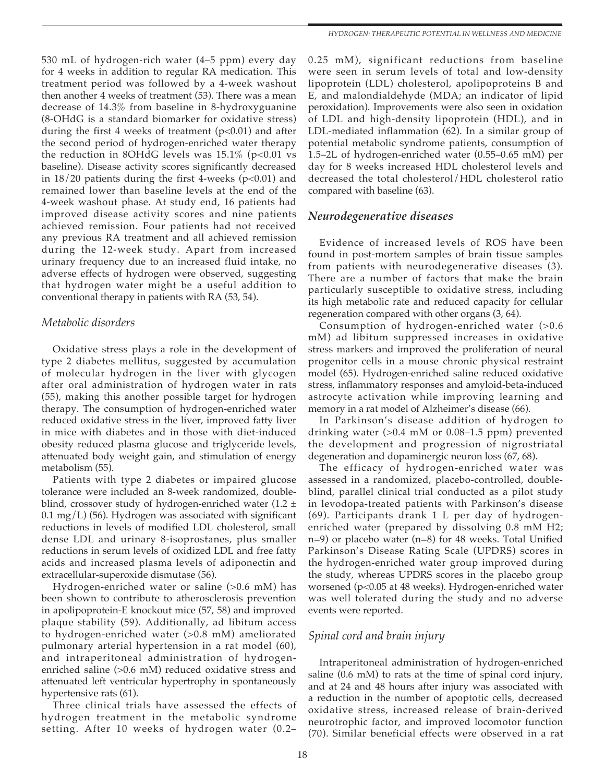530 mL of hydrogen-rich water (4–5 ppm) every day for 4 weeks in addition to regular RA medication. This treatment period was followed by a 4-week washout then another 4 weeks of treatment (53). There was a mean decrease of 14.3% from baseline in 8-hydroxyguanine (8-OHdG is a standard biomarker for oxidative stress) during the first 4 weeks of treatment  $(p<0.01)$  and after the second period of hydrogen-enriched water therapy the reduction in 8OHdG levels was  $15.1\%$  (p<0.01 vs baseline). Disease activity scores significantly decreased in  $18/20$  patients during the first 4-weeks (p<0.01) and remained lower than baseline levels at the end of the 4-week washout phase. At study end, 16 patients had improved disease activity scores and nine patients achieved remission. Four patients had not received any previous RA treatment and all achieved remission during the 12-week study. Apart from increased urinary frequency due to an increased fluid intake, no adverse effects of hydrogen were observed, suggesting that hydrogen water might be a useful addition to conventional therapy in patients with RA (53, 54).

#### *Metabolic disorders*

Oxidative stress plays a role in the development of type 2 diabetes mellitus, suggested by accumulation of molecular hydrogen in the liver with glycogen after oral administration of hydrogen water in rats (55), making this another possible target for hydrogen therapy. The consumption of hydrogen-enriched water reduced oxidative stress in the liver, improved fatty liver in mice with diabetes and in those with diet-induced obesity reduced plasma glucose and triglyceride levels, attenuated body weight gain, and stimulation of energy metabolism (55).

Patients with type 2 diabetes or impaired glucose tolerance were included an 8-week randomized, doubleblind, crossover study of hydrogen-enriched water (1.2  $\pm$  $0.1 \text{ mg/L}$  (56). Hydrogen was associated with significant reductions in levels of modified LDL cholesterol, small dense LDL and urinary 8-isoprostanes, plus smaller reductions in serum levels of oxidized LDL and free fatty acids and increased plasma levels of adiponectin and extracellular-superoxide dismutase (56).

Hydrogen-enriched water or saline (>0.6 mM) has been shown to contribute to atherosclerosis prevention in apolipoprotein-E knockout mice (57, 58) and improved plaque stability (59). Additionally, ad libitum access to hydrogen-enriched water (>0.8 mM) ameliorated pulmonary arterial hypertension in a rat model (60), and intraperitoneal administration of hydrogenenriched saline (>0.6 mM) reduced oxidative stress and attenuated left ventricular hypertrophy in spontaneously hypertensive rats (61).

Three clinical trials have assessed the effects of hydrogen treatment in the metabolic syndrome setting. After 10 weeks of hydrogen water (0.2–

0.25 mM), significant reductions from baseline were seen in serum levels of total and low-density lipoprotein (LDL) cholesterol, apolipoproteins B and E, and malondialdehyde (MDA; an indicator of lipid peroxidation). Improvements were also seen in oxidation of LDL and high-density lipoprotein (HDL), and in LDL-mediated inflammation (62). In a similar group of potential metabolic syndrome patients, consumption of 1.5–2L of hydrogen-enriched water (0.55–0.65 mM) per day for 8 weeks increased HDL cholesterol levels and decreased the total cholesterol/HDL cholesterol ratio compared with baseline (63).

## *Neurodegenerative diseases*

Evidence of increased levels of ROS have been found in post-mortem samples of brain tissue samples from patients with neurodegenerative diseases (3). There are a number of factors that make the brain particularly susceptible to oxidative stress, including its high metabolic rate and reduced capacity for cellular regeneration compared with other organs (3, 64).

Consumption of hydrogen-enriched water (>0.6 mM) ad libitum suppressed increases in oxidative stress markers and improved the proliferation of neural progenitor cells in a mouse chronic physical restraint model (65). Hydrogen-enriched saline reduced oxidative stress, inflammatory responses and amyloid-beta-induced astrocyte activation while improving learning and memory in a rat model of Alzheimer's disease (66).

In Parkinson's disease addition of hydrogen to drinking water (>0.4 mM or 0.08–1.5 ppm) prevented the development and progression of nigrostriatal degeneration and dopaminergic neuron loss (67, 68).

The efficacy of hydrogen-enriched water was assessed in a randomized, placebo-controlled, doubleblind, parallel clinical trial conducted as a pilot study in levodopa-treated patients with Parkinson's disease (69). Participants drank 1 L per day of hydrogenenriched water (prepared by dissolving 0.8 mM H2; n=9) or placebo water (n=8) for 48 weeks. Total Unified Parkinson's Disease Rating Scale (UPDRS) scores in the hydrogen-enriched water group improved during the study, whereas UPDRS scores in the placebo group worsened (p<0.05 at 48 weeks). Hydrogen-enriched water was well tolerated during the study and no adverse events were reported.

## *Spinal cord and brain injury*

Intraperitoneal administration of hydrogen-enriched saline (0.6 mM) to rats at the time of spinal cord injury, and at 24 and 48 hours after injury was associated with a reduction in the number of apoptotic cells, decreased oxidative stress, increased release of brain-derived neurotrophic factor, and improved locomotor function (70). Similar beneficial effects were observed in a rat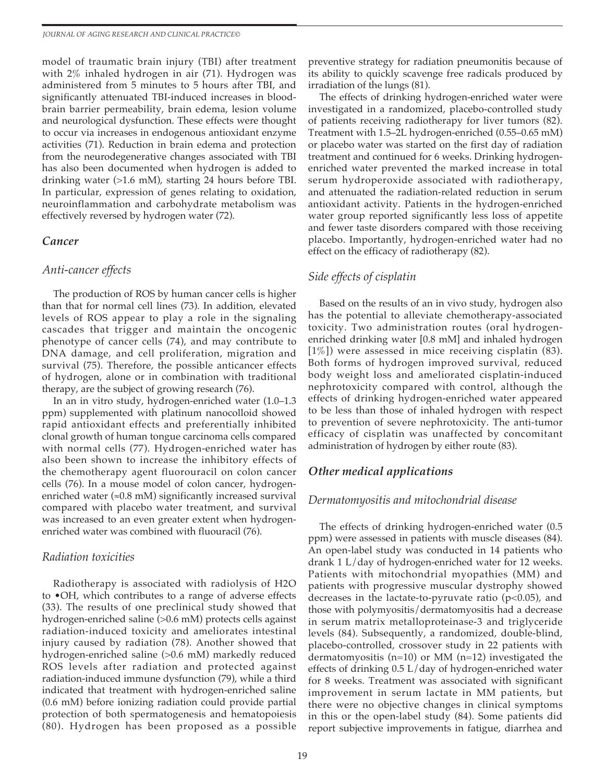model of traumatic brain injury (TBI) after treatment with 2% inhaled hydrogen in air (71). Hydrogen was administered from 5 minutes to 5 hours after TBI, and significantly attenuated TBI-induced increases in bloodbrain barrier permeability, brain edema, lesion volume and neurological dysfunction. These effects were thought to occur via increases in endogenous antioxidant enzyme activities (71). Reduction in brain edema and protection from the neurodegenerative changes associated with TBI has also been documented when hydrogen is added to drinking water (>1.6 mM), starting 24 hours before TBI. In particular, expression of genes relating to oxidation, neuroinflammation and carbohydrate metabolism was effectively reversed by hydrogen water (72).

#### *Cancer*

#### *Anti-cancer effects*

The production of ROS by human cancer cells is higher than that for normal cell lines (73). In addition, elevated levels of ROS appear to play a role in the signaling cascades that trigger and maintain the oncogenic phenotype of cancer cells (74), and may contribute to DNA damage, and cell proliferation, migration and survival (75). Therefore, the possible anticancer effects of hydrogen, alone or in combination with traditional therapy, are the subject of growing research (76).

In an in vitro study, hydrogen-enriched water (1.0–1.3 ppm) supplemented with platinum nanocolloid showed rapid antioxidant effects and preferentially inhibited clonal growth of human tongue carcinoma cells compared with normal cells (77). Hydrogen-enriched water has also been shown to increase the inhibitory effects of the chemotherapy agent fluorouracil on colon cancer cells (76). In a mouse model of colon cancer, hydrogenenriched water ( $\approx 0.8$  mM) significantly increased survival compared with placebo water treatment, and survival was increased to an even greater extent when hydrogenenriched water was combined with fluouracil (76).

#### *Radiation toxicities*

Radiotherapy is associated with radiolysis of H2O to •OH, which contributes to a range of adverse effects (33). The results of one preclinical study showed that hydrogen-enriched saline (>0.6 mM) protects cells against radiation-induced toxicity and ameliorates intestinal injury caused by radiation (78). Another showed that hydrogen-enriched saline (>0.6 mM) markedly reduced ROS levels after radiation and protected against radiation-induced immune dysfunction (79), while a third indicated that treatment with hydrogen-enriched saline (0.6 mM) before ionizing radiation could provide partial protection of both spermatogenesis and hematopoiesis (80). Hydrogen has been proposed as a possible

preventive strategy for radiation pneumonitis because of its ability to quickly scavenge free radicals produced by irradiation of the lungs (81).

The effects of drinking hydrogen-enriched water were investigated in a randomized, placebo-controlled study of patients receiving radiotherapy for liver tumors (82). Treatment with 1.5–2L hydrogen-enriched (0.55–0.65 mM) or placebo water was started on the first day of radiation treatment and continued for 6 weeks. Drinking hydrogenenriched water prevented the marked increase in total serum hydroperoxide associated with radiotherapy, and attenuated the radiation-related reduction in serum antioxidant activity. Patients in the hydrogen-enriched water group reported significantly less loss of appetite and fewer taste disorders compared with those receiving placebo. Importantly, hydrogen-enriched water had no effect on the efficacy of radiotherapy (82).

#### *Side effects of cisplatin*

Based on the results of an in vivo study, hydrogen also has the potential to alleviate chemotherapy-associated toxicity. Two administration routes (oral hydrogenenriched drinking water [0.8 mM] and inhaled hydrogen [1%]) were assessed in mice receiving cisplatin (83). Both forms of hydrogen improved survival, reduced body weight loss and ameliorated cisplatin-induced nephrotoxicity compared with control, although the effects of drinking hydrogen-enriched water appeared to be less than those of inhaled hydrogen with respect to prevention of severe nephrotoxicity. The anti-tumor efficacy of cisplatin was unaffected by concomitant administration of hydrogen by either route (83).

#### *Other medical applications*

#### *Dermatomyositis and mitochondrial disease*

The effects of drinking hydrogen-enriched water (0.5 ppm) were assessed in patients with muscle diseases (84). An open-label study was conducted in 14 patients who drank 1 L/day of hydrogen-enriched water for 12 weeks. Patients with mitochondrial myopathies (MM) and patients with progressive muscular dystrophy showed decreases in the lactate-to-pyruvate ratio (p<0.05), and those with polymyositis/dermatomyositis had a decrease in serum matrix metalloproteinase-3 and triglyceride levels (84). Subsequently, a randomized, double-blind, placebo-controlled, crossover study in 22 patients with dermatomyositis (n=10) or MM (n=12) investigated the effects of drinking 0.5 L/day of hydrogen-enriched water for 8 weeks. Treatment was associated with significant improvement in serum lactate in MM patients, but there were no objective changes in clinical symptoms in this or the open-label study (84). Some patients did report subjective improvements in fatigue, diarrhea and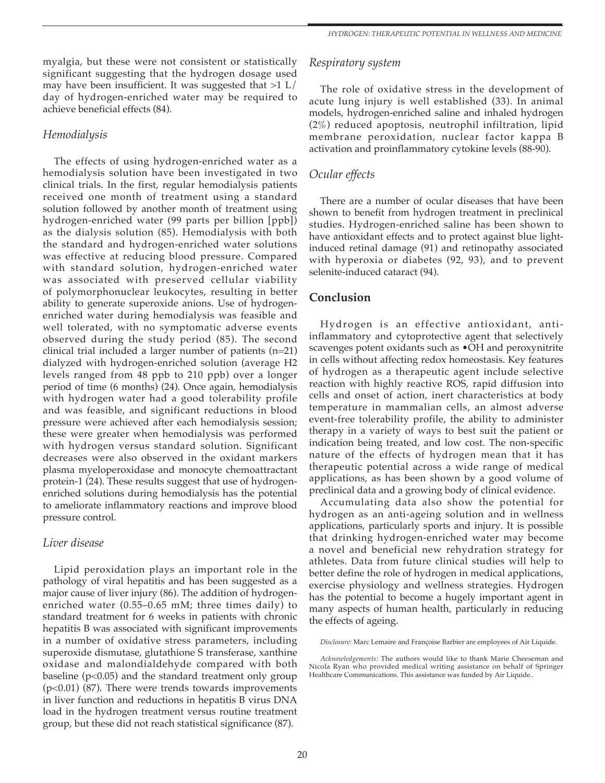*HYDROGEN: THERAPEUTIC POTENTIAL IN WELLNESS AND MEDICINE*

myalgia, but these were not consistent or statistically significant suggesting that the hydrogen dosage used may have been insufficient. It was suggested that  $>1$  L/ day of hydrogen-enriched water may be required to achieve beneficial effects (84).

#### *Hemodialysis*

The effects of using hydrogen-enriched water as a hemodialysis solution have been investigated in two clinical trials. In the first, regular hemodialysis patients received one month of treatment using a standard solution followed by another month of treatment using hydrogen-enriched water (99 parts per billion [ppb]) as the dialysis solution (85). Hemodialysis with both the standard and hydrogen-enriched water solutions was effective at reducing blood pressure. Compared with standard solution, hydrogen-enriched water was associated with preserved cellular viability of polymorphonuclear leukocytes, resulting in better ability to generate superoxide anions. Use of hydrogenenriched water during hemodialysis was feasible and well tolerated, with no symptomatic adverse events observed during the study period (85). The second clinical trial included a larger number of patients  $(n=21)$ dialyzed with hydrogen-enriched solution (average H2 levels ranged from 48 ppb to 210 ppb) over a longer period of time (6 months) (24). Once again, hemodialysis with hydrogen water had a good tolerability profile and was feasible, and significant reductions in blood pressure were achieved after each hemodialysis session; these were greater when hemodialysis was performed with hydrogen versus standard solution. Significant decreases were also observed in the oxidant markers plasma myeloperoxidase and monocyte chemoattractant protein-1 (24). These results suggest that use of hydrogenenriched solutions during hemodialysis has the potential to ameliorate inflammatory reactions and improve blood pressure control.

## *Liver disease*

Lipid peroxidation plays an important role in the pathology of viral hepatitis and has been suggested as a major cause of liver injury (86). The addition of hydrogenenriched water (0.55–0.65 mM; three times daily) to standard treatment for 6 weeks in patients with chronic hepatitis B was associated with significant improvements in a number of oxidative stress parameters, including superoxide dismutase, glutathione S transferase, xanthine oxidase and malondialdehyde compared with both baseline  $(p<0.05)$  and the standard treatment only group (p<0.01) (87). There were trends towards improvements in liver function and reductions in hepatitis B virus DNA load in the hydrogen treatment versus routine treatment group, but these did not reach statistical significance (87).

#### *Respiratory system*

The role of oxidative stress in the development of acute lung injury is well established (33). In animal models, hydrogen-enriched saline and inhaled hydrogen (2%) reduced apoptosis, neutrophil infiltration, lipid membrane peroxidation, nuclear factor kappa B activation and proinflammatory cytokine levels (88-90).

## *Ocular effects*

There are a number of ocular diseases that have been shown to benefit from hydrogen treatment in preclinical studies. Hydrogen-enriched saline has been shown to have antioxidant effects and to protect against blue lightinduced retinal damage (91) and retinopathy associated with hyperoxia or diabetes (92, 93), and to prevent selenite-induced cataract (94).

## **Conclusion**

Hydrogen is an effective antioxidant, antiinflammatory and cytoprotective agent that selectively scavenges potent oxidants such as •OH and peroxynitrite in cells without affecting redox homeostasis. Key features of hydrogen as a therapeutic agent include selective reaction with highly reactive ROS, rapid diffusion into cells and onset of action, inert characteristics at body temperature in mammalian cells, an almost adverse event-free tolerability profile, the ability to administer therapy in a variety of ways to best suit the patient or indication being treated, and low cost. The non-specific nature of the effects of hydrogen mean that it has therapeutic potential across a wide range of medical applications, as has been shown by a good volume of preclinical data and a growing body of clinical evidence.

Accumulating data also show the potential for hydrogen as an anti-ageing solution and in wellness applications, particularly sports and injury. It is possible that drinking hydrogen-enriched water may become a novel and beneficial new rehydration strategy for athletes. Data from future clinical studies will help to better define the role of hydrogen in medical applications, exercise physiology and wellness strategies. Hydrogen has the potential to become a hugely important agent in many aspects of human health, particularly in reducing the effects of ageing.

*Disclosure:* Marc Lemaire and Françoise Barbier are employees of Air Liquide.

*Acknowledgements:* The authors would like to thank Marie Cheeseman and Nicola Ryan who provided medical writing assistance on behalf of Springer Healthcare Communications. This assistance was funded by Air Liquide..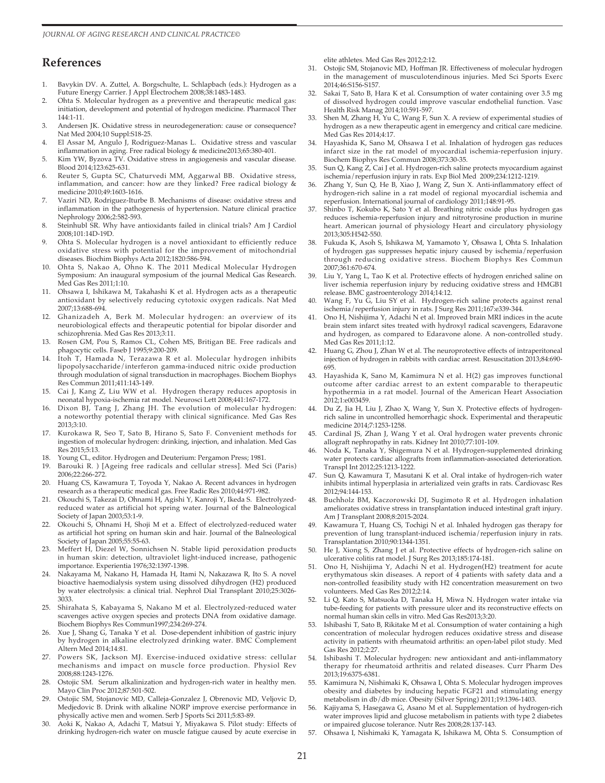#### **References**

- 1. Bavykin DV. A. Zuttel, A. Borgschulte, L. Schlapbach (eds.): Hydrogen as a Future Energy Carrier. J Appl Electrochem 2008;38:1483-1483.
- 2. Ohta S. Molecular hydrogen as a preventive and therapeutic medical gas: initiation, development and potential of hydrogen medicine. Pharmacol Ther 144:1-11.
- 3. Andersen JK. Oxidative stress in neurodegeneration: cause or consequence? Nat Med 2004;10 Suppl:S18-25.
- 4. El Assar M, Angulo J, Rodriguez-Manas L. Oxidative stress and vascular inflammation in aging. Free radical biology & medicine2013;65:380-401.
- 5. Kim YW, Byzova TV. Oxidative stress in angiogenesis and vascular disease. Blood 2014;123:625-631.
- 6. Reuter S, Gupta SC, Chaturvedi MM, Aggarwal BB. Oxidative stress, inflammation, and cancer: how are they linked? Free radical biology & medicine 2010;49:1603-1616.
- 7. Vaziri ND, Rodriguez-Iturbe B. Mechanisms of disease: oxidative stress and inflammation in the pathogenesis of hypertension. Nature clinical practice Nephrology 2006;2:582-593.
- 8. Steinhubl SR. Why have antioxidants failed in clinical trials? Am J Cardiol 2008;101:14D-19D.
- 9. Ohta S. Molecular hydrogen is a novel antioxidant to efficiently reduce oxidative stress with potential for the improvement of mitochondrial diseases. Biochim Biophys Acta 2012;1820:586-594.
- 10. Ohta S, Nakao A, Ohno K. The 2011 Medical Molecular Hydrogen Symposium: An inaugural symposium of the journal Medical Gas Research. Med Gas Res 2011;1:10.
- 11. Ohsawa I, Ishikawa M, Takahashi K et al. Hydrogen acts as a therapeutic antioxidant by selectively reducing cytotoxic oxygen radicals. Nat Med 2007;13:688-694.
- 12. Ghanizadeh A, Berk M. Molecular hydrogen: an overview of its neurobiological effects and therapeutic potential for bipolar disorder and schizophrenia. Med Gas Res 2013;3:11.
- 13. Rosen GM, Pou S, Ramos CL, Cohen MS, Britigan BE. Free radicals and phagocytic cells. Faseb J 1995;9:200-209.
- 14. Itoh T, Hamada N, Terazawa R et al. Molecular hydrogen inhibits lipopolysaccharide/interferon gamma-induced nitric oxide production through modulation of signal transduction in macrophages. Biochem Biophys Res Commun 2011;411:143-149.
- 15. Cai J, Kang Z, Liu WW et al. Hydrogen therapy reduces apoptosis in neonatal hypoxia-ischemia rat model. Neurosci Lett 2008;441:167-172.
- 16. Dixon BJ, Tang J, Zhang JH. The evolution of molecular hydrogen: a noteworthy potential therapy with clinical significance. Med Gas Res 2013;3:10.
- 17. Kurokawa R, Seo T, Sato B, Hirano S, Sato F. Convenient methods for ingestion of molecular hydrogen: drinking, injection, and inhalation. Med Gas Res 2015;5:13.
- 18. Young CL, editor. Hydrogen and Deuterium: Pergamon Press; 1981.
- 19. Barouki R. ) [Ageing free radicals and cellular stress]. Med Sci (Paris) 2006;22:266-272.
- 20. Huang CS, Kawamura T, Toyoda Y, Nakao A. Recent advances in hydrogen research as a therapeutic medical gas. Free Radic Res 2010;44:971-982.
- 21. Okouchi S, Takezai D, Ohnami H, Agishi Y, Kanroji Y, Ikeda S. Electrolyzedreduced water as artificial hot spring water. Journal of the Balneological Society of Japan 2003;53:1-9.
- 22. Okouchi S, Ohnami H, Shoji M et a. Effect of electrolyzed-reduced water as artificial hot spring on human skin and hair. Journal of the Balneological Society of Japan 2005;55:55-63.
- 23. Meffert H, Diezel W, Sonnichsen N. Stable lipid peroxidation products in human skin: detection, ultraviolet light-induced increase, pathogenic importance. Experientia 1976;32:1397-1398.
- 24. Nakayama M, Nakano H, Hamada H, Itami N, Nakazawa R, Ito S. A novel bioactive haemodialysis system using dissolved dihydrogen (H2) produced by water electrolysis: a clinical trial. Nephrol Dial Transplant 2010;25:3026- 3033.
- 25. Shirahata S, Kabayama S, Nakano M et al. Electrolyzed-reduced water scavenges active oxygen species and protects DNA from oxidative damage. Biochem Biophys Res Commun1997;234:269-274.
- 26. Xue J, Shang G, Tanaka Y et al. Dose-dependent inhibition of gastric injury by hydrogen in alkaline electrolyzed drinking water. BMC Complement Altern Med 2014;14:81.
- 27. Powers SK, Jackson MJ. Exercise-induced oxidative stress: cellular mechanisms and impact on muscle force production. Physiol Rev 2008;88:1243-1276.
- 28. Ostojic SM. Serum alkalinization and hydrogen-rich water in healthy men. Mayo Clin Proc 2012;87:501-502.
- 29. Ostojic SM, Stojanovic MD, Calleja-Gonzalez J, Obrenovic MD, Veljovic D, Medjedovic B. Drink with alkaline NORP improve exercise performance in physically active men and women. Serb J Sports Sci 2011;5:83-89.
- 30. Aoki K, Nakao A, Adachi T, Matsui Y, Miyakawa S. Pilot study: Effects of drinking hydrogen-rich water on muscle fatigue caused by acute exercise in

elite athletes. Med Gas Res 2012;2:12.

- 31. Ostojic SM, Stojanovic MD, Hoffman JR. Effectiveness of molecular hydrogen in the management of musculotendinous injuries. Med Sci Sports Exerc 2014;46:S156-S157.
- 32. Sakai T, Sato B, Hara K et al. Consumption of water containing over 3.5 mg of dissolved hydrogen could improve vascular endothelial function. Vasc Health Risk Manag 2014;10:591-597.
- Shen M, Zhang H, Yu C, Wang F, Sun X. A review of experimental studies of hydrogen as a new therapeutic agent in emergency and critical care medicine. Med Gas Res 2014;4:17.
- 34. Hayashida K, Sano M, Ohsawa I et al. Inhalation of hydrogen gas reduces infarct size in the rat model of myocardial ischemia-reperfusion injury. Biochem Biophys Res Commun 2008;373:30-35.
- 35. Sun Q, Kang Z, Cai J et al. Hydrogen-rich saline protects myocardium against ischemia/reperfusion injury in rats. Exp Biol Med 2009;234:1212-1219.
- 36. Zhang Y, Sun Q, He B, Xiao J, Wang Z, Sun X. Anti-inflammatory effect of hydrogen-rich saline in a rat model of regional myocardial ischemia and reperfusion. International journal of cardiology 2011;148:91-95.
- 37. Shinbo T, Kokubo K, Sato Y et al. Breathing nitric oxide plus hydrogen gas reduces ischemia-reperfusion injury and nitrotyrosine production in murine heart. American journal of physiology Heart and circulatory physiology 2013;305:H542-550.
- 38. Fukuda K, Asoh S, Ishikawa M, Yamamoto Y, Ohsawa I, Ohta S. Inhalation of hydrogen gas suppresses hepatic injury caused by ischemia/reperfusion through reducing oxidative stress. Biochem Biophys Res Commun 2007;361:670-674.
- 39. Liu Y, Yang L, Tao K et al. Protective effects of hydrogen enriched saline on liver ischemia reperfusion injury by reducing oxidative stress and HMGB1 release. BMC gastroenterology 2014;14:12.
- 40. Wang F, Yu G, Liu SY et al. Hydrogen-rich saline protects against renal ischemia/reperfusion injury in rats. J Surg Res 2011;167:e339-344.
- 41. Ono H, Nishijima Y, Adachi N et al. Improved brain MRI indices in the acute brain stem infarct sites treated with hydroxyl radical scavengers, Edaravone and hydrogen, as compared to Edaravone alone. A non-controlled study. Med Gas Res 2011;1:12.
- 42. Huang G, Zhou J, Zhan W et al. The neuroprotective effects of intraperitoneal injection of hydrogen in rabbits with cardiac arrest. Resuscitation 2013;84:690- 695.
- 43. Hayashida K, Sano M, Kamimura N et al. H(2) gas improves functional outcome after cardiac arrest to an extent comparable to therapeutic hypothermia in a rat model. Journal of the American Heart Association 2012;1:e003459.
- 44. Du Z, Jia H, Liu J, Zhao X, Wang Y, Sun X. Protective effects of hydrogenrich saline in uncontrolled hemorrhagic shock. Experimental and therapeutic medicine 2014;7:1253-1258.
- 45. Cardinal JS, Zhan J, Wang Y et al. Oral hydrogen water prevents chronic allograft nephropathy in rats. Kidney Int 2010;77:101-109.
- 46. Noda K, Tanaka Y, Shigemura N et al. Hydrogen-supplemented drinking water protects cardiac allografts from inflammation-associated deterioration. Transpl Int 2012;25:1213-1222.
- 47. Sun Q, Kawamura T, Masutani K et al. Oral intake of hydrogen-rich water inhibits intimal hyperplasia in arterialized vein grafts in rats. Cardiovasc Res 2012;94:144-153.
- 48. Buchholz BM, Kaczorowski DJ, Sugimoto R et al. Hydrogen inhalation ameliorates oxidative stress in transplantation induced intestinal graft injury. Am J Transplant 2008;8:2015-2024.
- 49. Kawamura T, Huang CS, Tochigi N et al. Inhaled hydrogen gas therapy for prevention of lung transplant-induced ischemia/reperfusion injury in rats. Transplantation 2010;90:1344-1351.
- He J, Xiong S, Zhang J et al. Protective effects of hydrogen-rich saline on ulcerative colitis rat model. J Surg Res 2013;185:174-181.
- 51. Ono H, Nishijima Y, Adachi N et al. Hydrogen(H2) treatment for acute erythymatous skin diseases. A report of 4 patients with safety data and a non-controlled feasibility study with H2 concentration measurement on two volunteers. Med Gas Res 2012;2:14.
- Li Q, Kato S, Matsuoka D, Tanaka H, Miwa N. Hydrogen water intake via tube-feeding for patients with pressure ulcer and its reconstructive effects on normal human skin cells in vitro. Med Gas Res2013;3:20.
- 53. Ishibashi T, Sato B, Rikitake M et al. Consumption of water containing a high concentration of molecular hydrogen reduces oxidative stress and disease activity in patients with rheumatoid arthritis: an open-label pilot study. Med Gas Res 2012;2:27.
- 54. Ishibashi T. Molecular hydrogen: new antioxidant and anti-inflammatory therapy for rheumatoid arthritis and related diseases. Curr Pharm Des 2013;19:6375-6381.
- 55. Kamimura N, Nishimaki K, Ohsawa I, Ohta S. Molecular hydrogen improves obesity and diabetes by inducing hepatic FGF21 and stimulating energy metabolism in db/db mice. Obesity (Silver Spring) 2011;19:1396-1403.
- 56. Kajiyama S, Hasegawa G, Asano M et al. Supplementation of hydrogen-rich water improves lipid and glucose metabolism in patients with type 2 diabetes or impaired glucose tolerance. Nutr Res 2008;28:137-143.
- 57. Ohsawa I, Nishimaki K, Yamagata K, Ishikawa M, Ohta S. Consumption of